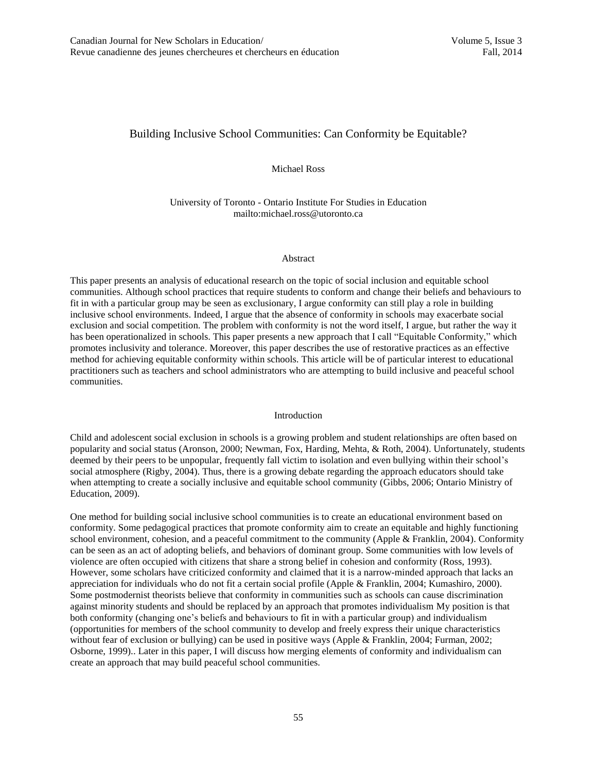# Building Inclusive School Communities: Can Conformity be Equitable?

Michael Ross

University of Toronto - Ontario Institute For Studies in Education mailto:michael.ross@utoronto.ca

#### Abstract

This paper presents an analysis of educational research on the topic of social inclusion and equitable school communities. Although school practices that require students to conform and change their beliefs and behaviours to fit in with a particular group may be seen as exclusionary, I argue conformity can still play a role in building inclusive school environments. Indeed, I argue that the absence of conformity in schools may exacerbate social exclusion and social competition. The problem with conformity is not the word itself, I argue, but rather the way it has been operationalized in schools. This paper presents a new approach that I call "Equitable Conformity," which promotes inclusivity and tolerance. Moreover, this paper describes the use of restorative practices as an effective method for achieving equitable conformity within schools. This article will be of particular interest to educational practitioners such as teachers and school administrators who are attempting to build inclusive and peaceful school communities.

## Introduction

Child and adolescent social exclusion in schools is a growing problem and student relationships are often based on popularity and social status (Aronson, 2000; Newman, Fox, Harding, Mehta, & Roth, 2004). Unfortunately, students deemed by their peers to be unpopular, frequently fall victim to isolation and even bullying within their school's social atmosphere (Rigby, 2004). Thus, there is a growing debate regarding the approach educators should take when attempting to create a socially inclusive and equitable school community (Gibbs, 2006; Ontario Ministry of Education, 2009).

One method for building social inclusive school communities is to create an educational environment based on conformity. Some pedagogical practices that promote conformity aim to create an equitable and highly functioning school environment, cohesion, and a peaceful commitment to the community (Apple & Franklin, 2004). Conformity can be seen as an act of adopting beliefs, and behaviors of dominant group. Some communities with low levels of violence are often occupied with citizens that share a strong belief in cohesion and conformity (Ross, 1993). However, some scholars have criticized conformity and claimed that it is a narrow-minded approach that lacks an appreciation for individuals who do not fit a certain social profile (Apple & Franklin, 2004; Kumashiro, 2000). Some postmodernist theorists believe that conformity in communities such as schools can cause discrimination against minority students and should be replaced by an approach that promotes individualism My position is that both conformity (changing one's beliefs and behaviours to fit in with a particular group) and individualism (opportunities for members of the school community to develop and freely express their unique characteristics without fear of exclusion or bullying) can be used in positive ways (Apple & Franklin, 2004; Furman, 2002; Osborne, 1999).. Later in this paper, I will discuss how merging elements of conformity and individualism can create an approach that may build peaceful school communities.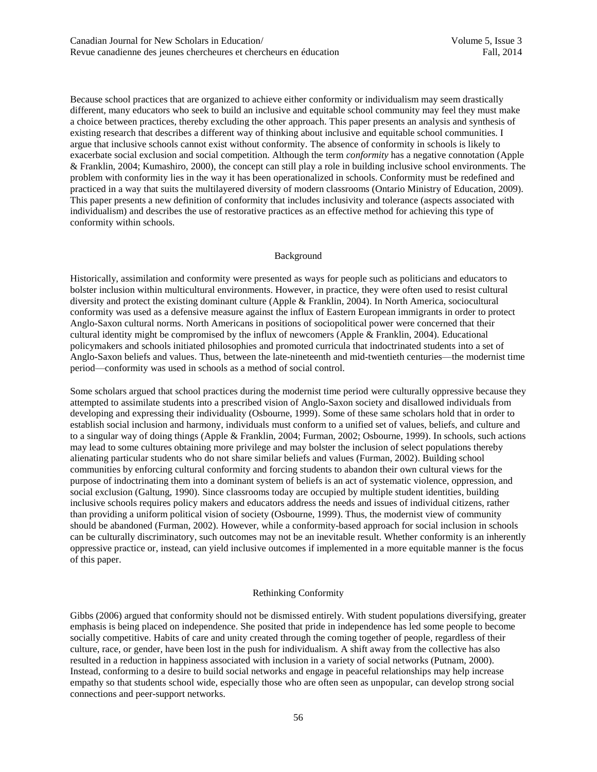Because school practices that are organized to achieve either conformity or individualism may seem drastically different, many educators who seek to build an inclusive and equitable school community may feel they must make a choice between practices, thereby excluding the other approach. This paper presents an analysis and synthesis of existing research that describes a different way of thinking about inclusive and equitable school communities. I argue that inclusive schools cannot exist without conformity. The absence of conformity in schools is likely to exacerbate social exclusion and social competition. Although the term *conformity* has a negative connotation (Apple & Franklin, 2004; Kumashiro, 2000), the concept can still play a role in building inclusive school environments. The problem with conformity lies in the way it has been operationalized in schools. Conformity must be redefined and practiced in a way that suits the multilayered diversity of modern classrooms (Ontario Ministry of Education, 2009). This paper presents a new definition of conformity that includes inclusivity and tolerance (aspects associated with individualism) and describes the use of restorative practices as an effective method for achieving this type of conformity within schools.

## Background

Historically, assimilation and conformity were presented as ways for people such as politicians and educators to bolster inclusion within multicultural environments. However, in practice, they were often used to resist cultural diversity and protect the existing dominant culture (Apple & Franklin, 2004). In North America, sociocultural conformity was used as a defensive measure against the influx of Eastern European immigrants in order to protect Anglo-Saxon cultural norms. North Americans in positions of sociopolitical power were concerned that their cultural identity might be compromised by the influx of newcomers (Apple & Franklin, 2004). Educational policymakers and schools initiated philosophies and promoted curricula that indoctrinated students into a set of Anglo-Saxon beliefs and values. Thus, between the late-nineteenth and mid-twentieth centuries—the modernist time period—conformity was used in schools as a method of social control.

Some scholars argued that school practices during the modernist time period were culturally oppressive because they attempted to assimilate students into a prescribed vision of Anglo-Saxon society and disallowed individuals from developing and expressing their individuality (Osbourne, 1999). Some of these same scholars hold that in order to establish social inclusion and harmony, individuals must conform to a unified set of values, beliefs, and culture and to a singular way of doing things (Apple & Franklin, 2004; Furman, 2002; Osbourne, 1999). In schools, such actions may lead to some cultures obtaining more privilege and may bolster the inclusion of select populations thereby alienating particular students who do not share similar beliefs and values (Furman, 2002). Building school communities by enforcing cultural conformity and forcing students to abandon their own cultural views for the purpose of indoctrinating them into a dominant system of beliefs is an act of systematic violence, oppression, and social exclusion (Galtung, 1990). Since classrooms today are occupied by multiple student identities, building inclusive schools requires policy makers and educators address the needs and issues of individual citizens, rather than providing a uniform political vision of society (Osbourne, 1999). Thus, the modernist view of community should be abandoned (Furman, 2002). However, while a conformity-based approach for social inclusion in schools can be culturally discriminatory, such outcomes may not be an inevitable result. Whether conformity is an inherently oppressive practice or, instead, can yield inclusive outcomes if implemented in a more equitable manner is the focus of this paper.

# Rethinking Conformity

Gibbs (2006) argued that conformity should not be dismissed entirely. With student populations diversifying, greater emphasis is being placed on independence. She posited that pride in independence has led some people to become socially competitive. Habits of care and unity created through the coming together of people, regardless of their culture, race, or gender, have been lost in the push for individualism. A shift away from the collective has also resulted in a reduction in happiness associated with inclusion in a variety of social networks (Putnam, 2000). Instead, conforming to a desire to build social networks and engage in peaceful relationships may help increase empathy so that students school wide, especially those who are often seen as unpopular, can develop strong social connections and peer-support networks.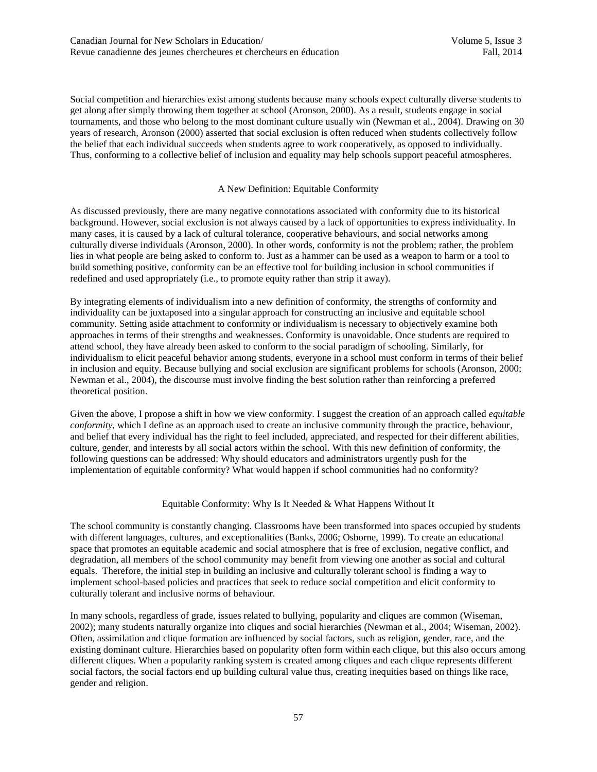Social competition and hierarchies exist among students because many schools expect culturally diverse students to get along after simply throwing them together at school (Aronson, 2000). As a result, students engage in social tournaments, and those who belong to the most dominant culture usually win (Newman et al., 2004). Drawing on 30 years of research, Aronson (2000) asserted that social exclusion is often reduced when students collectively follow the belief that each individual succeeds when students agree to work cooperatively, as opposed to individually. Thus, conforming to a collective belief of inclusion and equality may help schools support peaceful atmospheres.

# A New Definition: Equitable Conformity

As discussed previously, there are many negative connotations associated with conformity due to its historical background. However, social exclusion is not always caused by a lack of opportunities to express individuality. In many cases, it is caused by a lack of cultural tolerance, cooperative behaviours, and social networks among culturally diverse individuals (Aronson, 2000). In other words, conformity is not the problem; rather, the problem lies in what people are being asked to conform to. Just as a hammer can be used as a weapon to harm or a tool to build something positive, conformity can be an effective tool for building inclusion in school communities if redefined and used appropriately (i.e., to promote equity rather than strip it away).

By integrating elements of individualism into a new definition of conformity, the strengths of conformity and individuality can be juxtaposed into a singular approach for constructing an inclusive and equitable school community. Setting aside attachment to conformity or individualism is necessary to objectively examine both approaches in terms of their strengths and weaknesses. Conformity is unavoidable. Once students are required to attend school, they have already been asked to conform to the social paradigm of schooling. Similarly, for individualism to elicit peaceful behavior among students, everyone in a school must conform in terms of their belief in inclusion and equity. Because bullying and social exclusion are significant problems for schools (Aronson, 2000; Newman et al., 2004), the discourse must involve finding the best solution rather than reinforcing a preferred theoretical position.

Given the above, I propose a shift in how we view conformity. I suggest the creation of an approach called *equitable conformity*, which I define as an approach used to create an inclusive community through the practice, behaviour, and belief that every individual has the right to feel included, appreciated, and respected for their different abilities, culture, gender, and interests by all social actors within the school. With this new definition of conformity, the following questions can be addressed: Why should educators and administrators urgently push for the implementation of equitable conformity? What would happen if school communities had no conformity?

# Equitable Conformity: Why Is It Needed & What Happens Without It

The school community is constantly changing. Classrooms have been transformed into spaces occupied by students with different languages, cultures, and exceptionalities (Banks, 2006; Osborne, 1999). To create an educational space that promotes an equitable academic and social atmosphere that is free of exclusion, negative conflict, and degradation, all members of the school community may benefit from viewing one another as social and cultural equals. Therefore, the initial step in building an inclusive and culturally tolerant school is finding a way to implement school-based policies and practices that seek to reduce social competition and elicit conformity to culturally tolerant and inclusive norms of behaviour.

In many schools, regardless of grade, issues related to bullying, popularity and cliques are common (Wiseman, 2002); many students naturally organize into cliques and social hierarchies (Newman et al., 2004; Wiseman, 2002). Often, assimilation and clique formation are influenced by social factors, such as religion, gender, race, and the existing dominant culture. Hierarchies based on popularity often form within each clique, but this also occurs among different cliques. When a popularity ranking system is created among cliques and each clique represents different social factors, the social factors end up building cultural value thus, creating inequities based on things like race, gender and religion.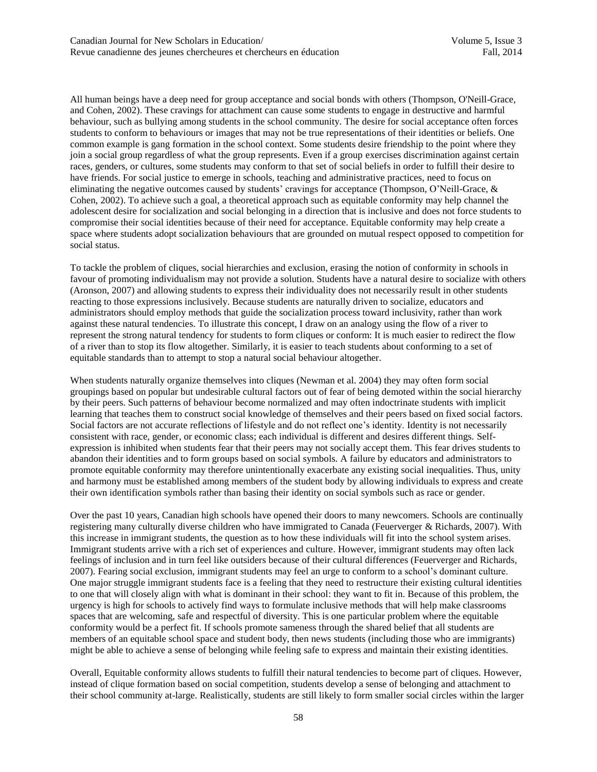All human beings have a deep need for group acceptance and social bonds with others (Thompson, O'Neill-Grace, and Cohen, 2002). These cravings for attachment can cause some students to engage in destructive and harmful behaviour, such as bullying among students in the school community. The desire for social acceptance often forces students to conform to behaviours or images that may not be true representations of their identities or beliefs. One common example is gang formation in the school context. Some students desire friendship to the point where they join a social group regardless of what the group represents. Even if a group exercises discrimination against certain races, genders, or cultures, some students may conform to that set of social beliefs in order to fulfill their desire to have friends. For social justice to emerge in schools, teaching and administrative practices, need to focus on eliminating the negative outcomes caused by students' cravings for acceptance (Thompson, O'Neill-Grace, & Cohen, 2002). To achieve such a goal, a theoretical approach such as equitable conformity may help channel the adolescent desire for socialization and social belonging in a direction that is inclusive and does not force students to compromise their social identities because of their need for acceptance. Equitable conformity may help create a space where students adopt socialization behaviours that are grounded on mutual respect opposed to competition for social status.

To tackle the problem of cliques, social hierarchies and exclusion, erasing the notion of conformity in schools in favour of promoting individualism may not provide a solution. Students have a natural desire to socialize with others (Aronson, 2007) and allowing students to express their individuality does not necessarily result in other students reacting to those expressions inclusively. Because students are naturally driven to socialize, educators and administrators should employ methods that guide the socialization process toward inclusivity, rather than work against these natural tendencies. To illustrate this concept, I draw on an analogy using the flow of a river to represent the strong natural tendency for students to form cliques or conform: It is much easier to redirect the flow of a river than to stop its flow altogether. Similarly, it is easier to teach students about conforming to a set of equitable standards than to attempt to stop a natural social behaviour altogether.

When students naturally organize themselves into cliques (Newman et al. 2004) they may often form social groupings based on popular but undesirable cultural factors out of fear of being demoted within the social hierarchy by their peers. Such patterns of behaviour become normalized and may often indoctrinate students with implicit learning that teaches them to construct social knowledge of themselves and their peers based on fixed social factors. Social factors are not accurate reflections of lifestyle and do not reflect one's identity. Identity is not necessarily consistent with race, gender, or economic class; each individual is different and desires different things. Selfexpression is inhibited when students fear that their peers may not socially accept them. This fear drives students to abandon their identities and to form groups based on social symbols. A failure by educators and administrators to promote equitable conformity may therefore unintentionally exacerbate any existing social inequalities. Thus, unity and harmony must be established among members of the student body by allowing individuals to express and create their own identification symbols rather than basing their identity on social symbols such as race or gender.

Over the past 10 years, Canadian high schools have opened their doors to many newcomers. Schools are continually registering many culturally diverse children who have immigrated to Canada (Feuerverger & Richards, 2007). With this increase in immigrant students, the question as to how these individuals will fit into the school system arises. Immigrant students arrive with a rich set of experiences and culture. However, immigrant students may often lack feelings of inclusion and in turn feel like outsiders because of their cultural differences (Feuerverger and Richards, 2007). Fearing social exclusion, immigrant students may feel an urge to conform to a school's dominant culture. One major struggle immigrant students face is a feeling that they need to restructure their existing cultural identities to one that will closely align with what is dominant in their school: they want to fit in. Because of this problem, the urgency is high for schools to actively find ways to formulate inclusive methods that will help make classrooms spaces that are welcoming, safe and respectful of diversity. This is one particular problem where the equitable conformity would be a perfect fit. If schools promote sameness through the shared belief that all students are members of an equitable school space and student body, then news students (including those who are immigrants) might be able to achieve a sense of belonging while feeling safe to express and maintain their existing identities.

Overall, Equitable conformity allows students to fulfill their natural tendencies to become part of cliques. However, instead of clique formation based on social competition, students develop a sense of belonging and attachment to their school community at-large. Realistically, students are still likely to form smaller social circles within the larger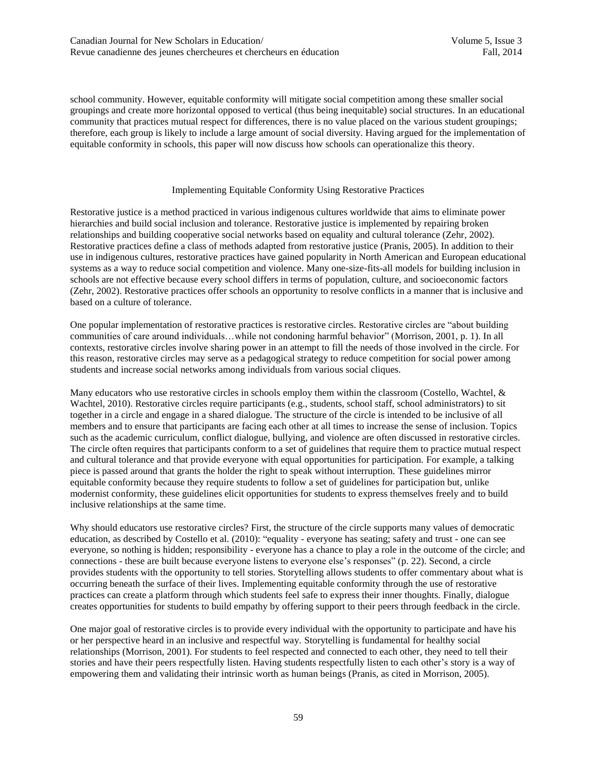school community. However, equitable conformity will mitigate social competition among these smaller social groupings and create more horizontal opposed to vertical (thus being inequitable) social structures. In an educational community that practices mutual respect for differences, there is no value placed on the various student groupings; therefore, each group is likely to include a large amount of social diversity. Having argued for the implementation of equitable conformity in schools, this paper will now discuss how schools can operationalize this theory.

#### Implementing Equitable Conformity Using Restorative Practices

Restorative justice is a method practiced in various indigenous cultures worldwide that aims to eliminate power hierarchies and build social inclusion and tolerance. Restorative justice is implemented by repairing broken relationships and building cooperative social networks based on equality and cultural tolerance (Zehr, 2002). Restorative practices define a class of methods adapted from restorative justice (Pranis, 2005). In addition to their use in indigenous cultures, restorative practices have gained popularity in North American and European educational systems as a way to reduce social competition and violence. Many one-size-fits-all models for building inclusion in schools are not effective because every school differs in terms of population, culture, and socioeconomic factors (Zehr, 2002). Restorative practices offer schools an opportunity to resolve conflicts in a manner that is inclusive and based on a culture of tolerance.

One popular implementation of restorative practices is restorative circles. Restorative circles are "about building communities of care around individuals…while not condoning harmful behavior" (Morrison, 2001, p. 1). In all contexts, restorative circles involve sharing power in an attempt to fill the needs of those involved in the circle. For this reason, restorative circles may serve as a pedagogical strategy to reduce competition for social power among students and increase social networks among individuals from various social cliques.

Many educators who use restorative circles in schools employ them within the classroom (Costello, Wachtel, & Wachtel, 2010). Restorative circles require participants (e.g., students, school staff, school administrators) to sit together in a circle and engage in a shared dialogue. The structure of the circle is intended to be inclusive of all members and to ensure that participants are facing each other at all times to increase the sense of inclusion. Topics such as the academic curriculum, conflict dialogue, bullying, and violence are often discussed in restorative circles. The circle often requires that participants conform to a set of guidelines that require them to practice mutual respect and cultural tolerance and that provide everyone with equal opportunities for participation. For example, a talking piece is passed around that grants the holder the right to speak without interruption. These guidelines mirror equitable conformity because they require students to follow a set of guidelines for participation but, unlike modernist conformity, these guidelines elicit opportunities for students to express themselves freely and to build inclusive relationships at the same time.

Why should educators use restorative circles? First, the structure of the circle supports many values of democratic education, as described by Costello et al. (2010): "equality - everyone has seating; safety and trust - one can see everyone, so nothing is hidden; responsibility - everyone has a chance to play a role in the outcome of the circle; and connections - these are built because everyone listens to everyone else's responses" (p. 22). Second, a circle provides students with the opportunity to tell stories. Storytelling allows students to offer commentary about what is occurring beneath the surface of their lives. Implementing equitable conformity through the use of restorative practices can create a platform through which students feel safe to express their inner thoughts. Finally, dialogue creates opportunities for students to build empathy by offering support to their peers through feedback in the circle.

One major goal of restorative circles is to provide every individual with the opportunity to participate and have his or her perspective heard in an inclusive and respectful way. Storytelling is fundamental for healthy social relationships (Morrison, 2001). For students to feel respected and connected to each other, they need to tell their stories and have their peers respectfully listen. Having students respectfully listen to each other's story is a way of empowering them and validating their intrinsic worth as human beings (Pranis, as cited in Morrison, 2005).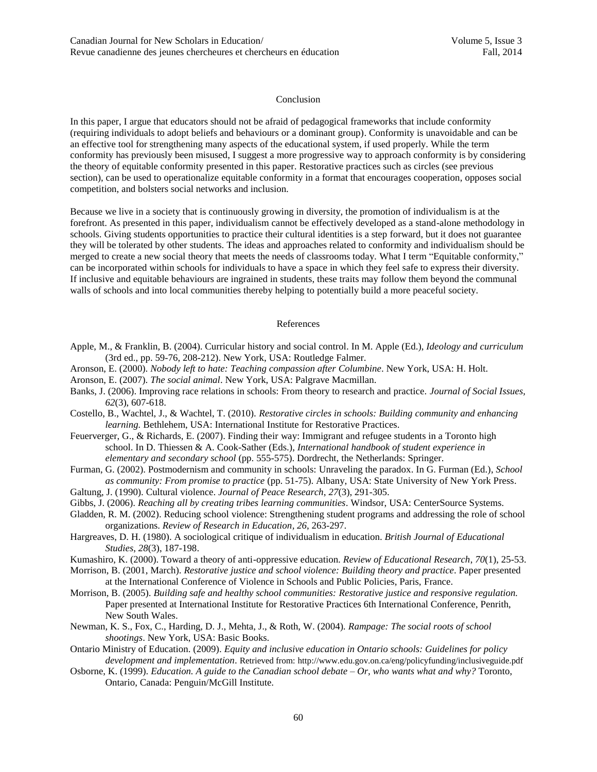#### Conclusion

In this paper, I argue that educators should not be afraid of pedagogical frameworks that include conformity (requiring individuals to adopt beliefs and behaviours or a dominant group). Conformity is unavoidable and can be an effective tool for strengthening many aspects of the educational system, if used properly. While the term conformity has previously been misused, I suggest a more progressive way to approach conformity is by considering the theory of equitable conformity presented in this paper. Restorative practices such as circles (see previous section), can be used to operationalize equitable conformity in a format that encourages cooperation, opposes social competition, and bolsters social networks and inclusion.

Because we live in a society that is continuously growing in diversity, the promotion of individualism is at the forefront. As presented in this paper, individualism cannot be effectively developed as a stand-alone methodology in schools. Giving students opportunities to practice their cultural identities is a step forward, but it does not guarantee they will be tolerated by other students. The ideas and approaches related to conformity and individualism should be merged to create a new social theory that meets the needs of classrooms today. What I term "Equitable conformity," can be incorporated within schools for individuals to have a space in which they feel safe to express their diversity. If inclusive and equitable behaviours are ingrained in students, these traits may follow them beyond the communal walls of schools and into local communities thereby helping to potentially build a more peaceful society.

## References

- Apple, M., & Franklin, B. (2004). Curricular history and social control. In M. Apple (Ed.), *Ideology and curriculum* (3rd ed., pp. 59-76, 208-212). New York, USA: Routledge Falmer.
- Aronson, E. (2000). *Nobody left to hate: Teaching compassion after Columbine*. New York, USA: H. Holt.
- Aronson, E. (2007). *The social animal*. New York, USA: Palgrave Macmillan.
- Banks, J. (2006). Improving race relations in schools: From theory to research and practice. *Journal of Social Issues, 62*(3), 607-618.
- Costello, B., Wachtel, J., & Wachtel, T. (2010). *Restorative circles in schools: Building community and enhancing learning.* Bethlehem, USA: International Institute for Restorative Practices.
- Feuerverger, G., & Richards, E. (2007). Finding their way: Immigrant and refugee students in a Toronto high school. In D. Thiessen & A. Cook-Sather (Eds.), *International handbook of student experience in elementary and secondary school* (pp. 555-575). Dordrecht, the Netherlands: Springer.
- Furman, G. (2002). Postmodernism and community in schools: Unraveling the paradox. In G. Furman (Ed.), *School as community: From promise to practice* (pp. 51-75). Albany, USA: State University of New York Press.
- Galtung, J. (1990). Cultural violence. *Journal of Peace Research*, *27*(3), 291-305.
- Gibbs, J. (2006). *Reaching all by creating tribes learning communities*. Windsor, USA: CenterSource Systems.
- Gladden, R. M. (2002). Reducing school violence: Strengthening student programs and addressing the role of school organizations. *Review of Research in Education, 26*, 263-297.
- Hargreaves, D. H. (1980). A sociological critique of individualism in education. *British Journal of Educational Studies*, *28*(3), 187-198.
- Kumashiro, K. (2000). Toward a theory of anti-oppressive education. *Review of Educational Research*, *70*(1), 25-53.
- Morrison, B. (2001, March). *Restorative justice and school violence: Building theory and practice*. Paper presented at the International Conference of Violence in Schools and Public Policies, Paris, France.
- Morrison, B. (2005). *Building safe and healthy school communities: Restorative justice and responsive regulation.* Paper presented at International Institute for Restorative Practices 6th International Conference, Penrith, New South Wales.
- Newman, K. S., Fox, C., Harding, D. J., Mehta, J., & Roth, W. (2004). *Rampage: The social roots of school shootings*. New York, USA: Basic Books.
- Ontario Ministry of Education. (2009). *Equity and inclusive education in Ontario schools: Guidelines for policy development and implementation*. Retrieved from: http://www.edu.gov.on.ca/eng/policyfunding/inclusiveguide.pdf
- Osborne, K. (1999). *Education. A guide to the Canadian school debate – Or, who wants what and why?* Toronto, Ontario, Canada: Penguin/McGill Institute.